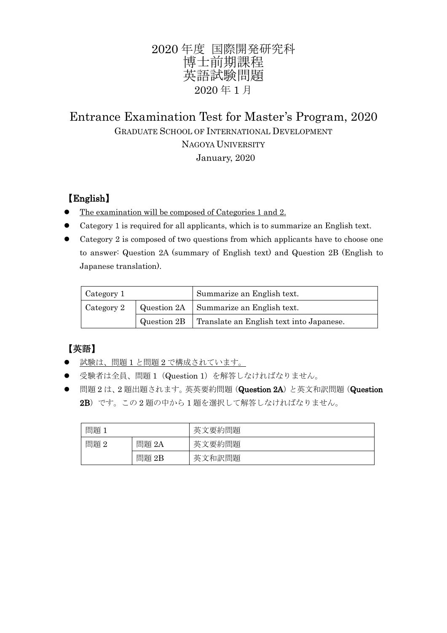# 2020 年度 国際開発研究科 博士前期課程 英語試験問題 2020 年 1 月

# Entrance Examination Test for Master's Program, 2020 GRADUATE SCHOOL OF INTERNATIONAL DEVELOPMENT NAGOYA UNIVERSITY January, 2020

### 【English】

- The examination will be composed of Categories 1 and 2.
- Category 1 is required for all applicants, which is to summarize an English text.
- Category 2 is composed of two questions from which applicants have to choose one to answer: Question 2A (summary of English text) and Question 2B (English to Japanese translation).

| Category 1 | Summarize an English text.                             |
|------------|--------------------------------------------------------|
| Category 2 | $\vert$ Question 2A $\vert$ Summarize an English text. |
|            | Question 2B   Translate an English text into Japanese. |

## 【英語】

- 試験は、問題 1 と問題 2 で構成されています。
- 受験者は全員、問題 1 (Question 1) を解答しなければなりません。
- 問題2は、2題出題されます。英英要約問題(Question 2A)と英文和訳問題(Question 2B)です。この 2 題の中から 1 題を選択して解答しなければなりません。

| 問題           |          | 文要約問題<br>茈 |
|--------------|----------|------------|
| 問題<br>റ<br>↵ | 問題<br>2A | 要約問題<br>茈  |
|              | 問題<br>2B | 茈<br>文和訳問題 |